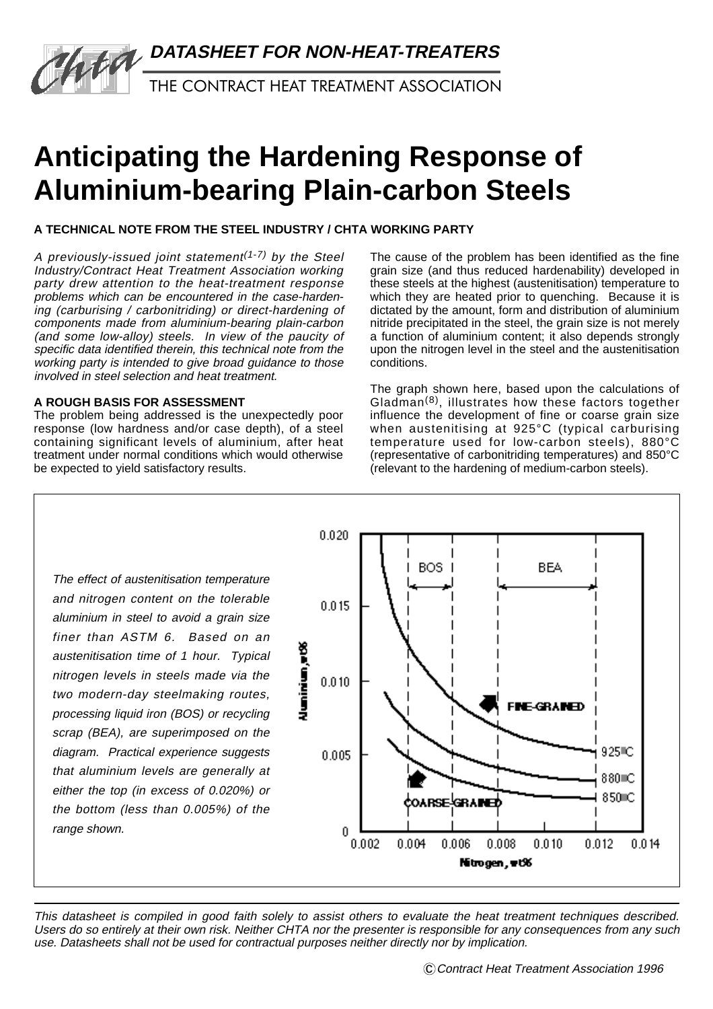

THE CONTRACT HEAT TREATMENT ASSOCIATION

# **Anticipating the Hardening Response of Aluminium-bearing Plain-carbon Steels**

**A TECHNICAL NOTE FROM THE STEEL INDUSTRY / CHTA WORKING PARTY**

A previously-issued joint statement<sup> $(1-7)$ </sup> by the Steel Industry/Contract Heat Treatment Association working party drew attention to the heat-treatment response problems which can be encountered in the case-hardening (carburising / carbonitriding) or direct-hardening of components made from aluminium-bearing plain-carbon (and some low-alloy) steels. In view of the paucity of specific data identified therein, this technical note from the working party is intended to give broad guidance to those involved in steel selection and heat treatment.

## **A ROUGH BASIS FOR ASSESSMENT**

Valle

The problem being addressed is the unexpectedly poor response (low hardness and/or case depth), of a steel containing significant levels of aluminium, after heat treatment under normal conditions which would otherwise be expected to yield satisfactory results.

The cause of the problem has been identified as the fine grain size (and thus reduced hardenability) developed in these steels at the highest (austenitisation) temperature to which they are heated prior to quenching. Because it is dictated by the amount, form and distribution of aluminium nitride precipitated in the steel, the grain size is not merely a function of aluminium content; it also depends strongly upon the nitrogen level in the steel and the austenitisation conditions.

The graph shown here, based upon the calculations of Gladman(8), illustrates how these factors together influence the development of fine or coarse grain size when austenitising at 925°C (typical carburising temperature used for low-carbon steels), 880°C (representative of carbonitriding temperatures) and 850°C (relevant to the hardening of medium-carbon steels).

The effect of austenitisation temperature and nitrogen content on the tolerable aluminium in steel to avoid a grain size finer than ASTM 6. Based on an austenitisation time of 1 hour. Typical nitrogen levels in steels made via the two modern-day steelmaking routes, processing liquid iron (BOS) or recycling scrap (BEA), are superimposed on the diagram. Practical experience suggests that aluminium levels are generally at either the top (in excess of 0.020%) or the bottom (less than 0.005%) of the range shown.



This datasheet is compiled in good faith solely to assist others to evaluate the heat treatment techniques described. Users do so entirely at their own risk. Neither CHTA nor the presenter is responsible for any consequences from any such use. Datasheets shall not be used for contractual purposes neither directly nor by implication.